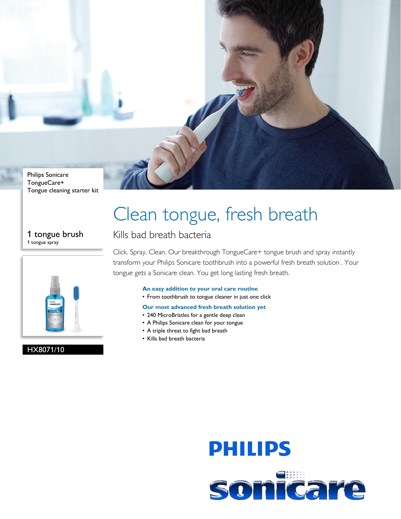

## Tongue cleaning starter kit

#### 1 tongue brush 1 tongue spray



### HX8071/10

# Clean tongue, fresh breath

### Kills bad breath bacteria

Click. Spray. Clean. Our breakthrough TongueCare+ tongue brush and spray instantly transform your Philips Sonicare toothbrush into a powerful fresh breath solution . Your tongue gets a Sonicare clean. You get long lasting fresh breath.

#### **An easy addition to your oral care routine**

• From toothbrush to tongue cleaner in just one click

#### **Our most advanced fresh breath solution yet**

- 240 MicroBristles for a gentle deep clean
- A Philips Sonicare clean for your tongue
- A triple threat to fight bad breath
- Kills bad breath bacteria

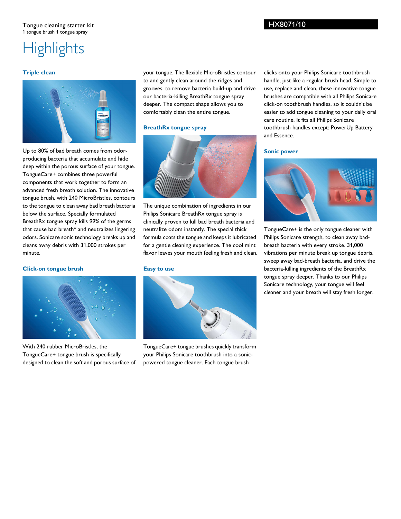### **Highlights**

#### **Triple clean**



Up to 80% of bad breath comes from odorproducing bacteria that accumulate and hide deep within the porous surface of your tongue. TongueCare+ combines three powerful components that work together to form an advanced fresh breath solution. The innovative tongue brush, with 240 MicroBristles, contours to the tongue to clean away bad breath bacteria below the surface. Specially formulated BreathRx tongue spray kills 99% of the germs that cause bad breath\* and neutralizes lingering odors. Sonicare sonic technology breaks up and cleans away debris with 31,000 strokes per minute.

#### **Click-on tongue brush**



With 240 rubber MicroBristles, the TongueCare+ tongue brush is specifically designed to clean the soft and porous surface of

your tongue. The flexible MicroBristles contour to and gently clean around the ridges and grooves, to remove bacteria build-up and drive our bacteria-killing BreathRx tongue spray deeper. The compact shape allows you to comfortably clean the entire tongue.

#### **BreathRx tongue spray**



The unique combination of ingredients in our Philips Sonicare BreathRx tongue spray is clinically proven to kill bad breath bacteria and neutralize odors instantly. The special thick formula coats the tongue and keeps it lubricated for a gentle cleaning experience. The cool mint flavor leaves your mouth feeling fresh and clean.

#### **Easy to use**



TongueCare+ tongue brushes quickly transform your Philips Sonicare toothbrush into a sonicpowered tongue cleaner. Each tongue brush

clicks onto your Philips Sonicare toothbrush handle, just like a regular brush head. Simple to use, replace and clean, these innovative tongue brushes are compatible with all Philips Sonicare click-on toothbrush handles, so it couldn't be easier to add tongue cleaning to your daily oral care routine. It fits all Philips Sonicare toothbrush handles except: PowerUp Battery and Essence.

#### **Sonic power**



TongueCare+ is the only tongue cleaner with Philips Sonicare strength, to clean away badbreath bacteria with every stroke. 31,000 vibrations per minute break up tongue debris, sweep away bad-breath bacteria, and drive the bacteria-killing ingredients of the BreathRx tongue spray deeper. Thanks to our Philips Sonicare technology, your tongue will feel cleaner and your breath will stay fresh longer.